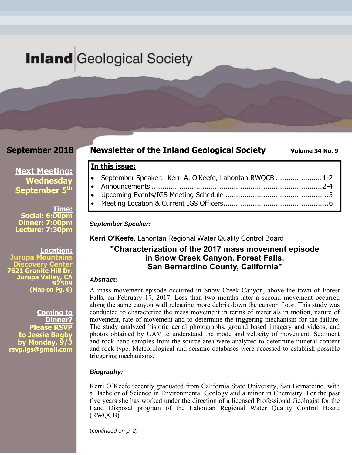# **Inland** Geological Society

### **September 2018**

## **Newsletter of the Inland Geological Society** Volume 34 No. 9

**Next Meeting: Wednesday September 5<sup>th</sup>** 

**Time: Social: 6:00pm Dinner: 7:00pm Lecture: 7:30pm** 

**Location: Jurupa Mountains Discovery Center 7621 Granite Hill Dr. Jurupa Valley, CA 92509 (Map on Pg. 6)**

**Coming to Dinner? Please RSVP to Jessie Bagby by Monday, 9/3 rsvp.igs@gmail.com** 

 September Speaker: Kerri A. O'Keefe, Lahontan RWQCB ...................... 1-2 Announcements ................................................................................. 2-4

- Upcoming Events/IGS Meeting Schedule ................................................. 5
- Meeting Location & Current IGS Officers .................................................. 6

#### *September Speaker:*

**In this issue:** 

**Kerri O'Keefe,** Lahontan Regional Water Quality Control Board

### **"Characterization of the 2017 mass movement episode in Snow Creek Canyon, Forest Falls, San Bernardino County, California"**

#### *Abstract:*

A mass movement episode occurred in Snow Creek Canyon, above the town of Forest Falls, on February 17, 2017. Less than two months later a second movement occurred along the same canyon wall releasing more debris down the canyon floor. This study was conducted to characterize the mass movement in terms of materials in motion, nature of movement, rate of movement and to determine the triggering mechanism for the failure. The study analyzed historic aerial photographs, ground based imagery and videos, and photos obtained by UAV to understand the mode and velocity of movement. Sediment and rock hand samples from the source area were analyzed to determine mineral content and rock type. Meteorological and seismic databases were accessed to establish possible triggering mechanisms.

#### *Biography:*

Kerri O'Keefe recently graduated from California State University, San Bernardino, with a Bachelor of Science in Environmental Geology and a minor in Chemistry. For the past five years she has worked under the direction of a licensed Professional Geologist for the Land Disposal program of the Lahontan Regional Water Quality Control Board (RWQCB).

(*continued on p. 2)*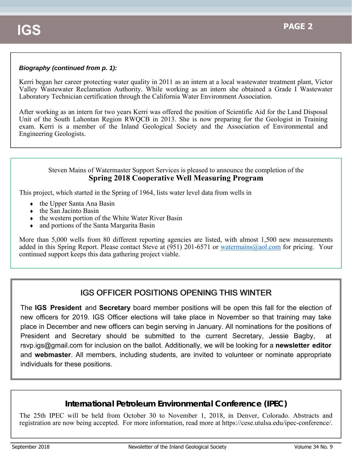### *Biography (continued from p. 1):*

Kerri began her career protecting water quality in 2011 as an intern at a local wastewater treatment plant, Victor Valley Wastewater Reclamation Authority. While working as an intern she obtained a Grade I Wastewater Laboratory Technician certification through the California Water Environment Association.

After working as an intern for two years Kerri was offered the position of Scientific Aid for the Land Disposal Unit of the South Lahontan Region RWQCB in 2013. She is now preparing for the Geologist in Training exam. Kerri is a member of the Inland Geological Society and the Association of Environmental and Engineering Geologists.

#### Steven Mains of Watermaster Support Services is pleased to announce the completion of the **Spring 2018 Cooperative Well Measuring Program**

This project, which started in the Spring of 1964, lists water level data from wells in

- $\bullet$  the Upper Santa Ana Basin
- $\bullet$  the San Jacinto Basin
- $\bullet$  the western portion of the White Water River Basin
- and portions of the Santa Margarita Basin

More than 5,000 wells from 80 different reporting agencies are listed, with almost 1,500 new measurements added in this Spring Report. Please contact Steve at  $(951)$  201-6571 or watermains@aol.com for pricing. Your continued support keeps this data gathering project viable.

# **IGS OFFICER POSITIONS OPENING THIS WINTER**

The **IGS President** and **Secretary** board member positions will be open this fall for the election of new officers for 2019. IGS Officer elections will take place in November so that training may take place in December and new officers can begin serving in January. All nominations for the positions of President and Secretary should be submitted to the current Secretary, Jessie Bagby, at rsvp.igs@gmail.com for inclusion on the ballot. Additionally, we will be looking for a **newsletter editor**  and **webmaster**. All members, including students, are invited to volunteer or nominate appropriate individuals for these positions.

# **International Petroleum Environmental Conference (IPEC)**

The 25th IPEC will be held from October 30 to November 1, 2018, in Denver, Colorado. Abstracts and registration are now being accepted. For more information, read more at https://cese.utulsa.edu/ipec-conference/.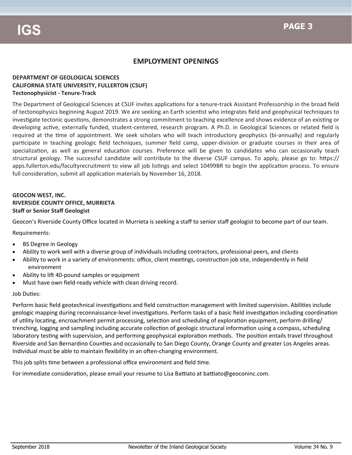### **EMPLOYMENT OPENINGS**

#### **DEPARTMENT OF GEOLOGICAL SCIENCES CALIFORNIA STATE UNIVERSITY, FULLERTON (CSUF) Tectonophysicist ‐ Tenure‐Track**

The Department of Geological Sciences at CSUF invites applications for a tenure-track Assistant Professorship in the broad field of tectonophysics beginning August 2019. We are seeking an Earth scientist who integrates field and geophysical techniques to investigate tectonic questions, demonstrates a strong commitment to teaching excellence and shows evidence of an existing or developing active, externally funded, student-centered, research program. A Ph.D. in Geological Sciences or related field is required at the time of appointment. We seek scholars who will teach introductory geophysics (bi-annually) and regularly participate in teaching geologic field techniques, summer field camp, upper-division or graduate courses in their area of specialization, as well as general education courses. Preference will be given to candidates who can occasionally teach structural geology. The successful candidate will contribute to the diverse CSUF campus. To apply, please go to: https:// apps.fullerton.edu/facultyrecruitment to view all job listings and select 10499BR to begin the application process. To ensure full consideration, submit all application materials by November 16, 2018.

#### **GEOCON WEST, INC. RIVERSIDE COUNTY OFFICE, MURRIETA Staff or Senior Staff Geologist**

Geocon's Riverside County Office located in Murrieta is seeking a staff to senior staff geologist to become part of our team.

Requirements:

- BS Degree in Geology
- Ability to work well with a diverse group of individuals including contractors, professional peers, and clients
- Ability to work in a variety of environments: office, client meetings, construction job site, independently in field environment
- Ability to lift 40-pound samples or equipment
- Must have own field‐ready vehicle with clean driving record.

#### Job Duties:

Perform basic field geotechnical investigations and field construction management with limited supervision. Abilities include geologic mapping during reconnaissance-level investigations. Perform tasks of a basic field investigation including coordination of utility locating, encroachment permit processing, selection and scheduling of exploration equipment, perform drilling/ trenching, logging and sampling including accurate collection of geologic structural information using a compass, scheduling laboratory testing with supervision, and performing geophysical exploration methods. The position entails travel throughout Riverside and San Bernardino Counties and occasionally to San Diego County, Orange County and greater Los Angeles areas. Individual must be able to maintain flexibility in an often-changing environment.

This job splits time between a professional office environment and field time.

For immediate consideration, please email your resume to Lisa Battiato at battiato@geoconinc.com.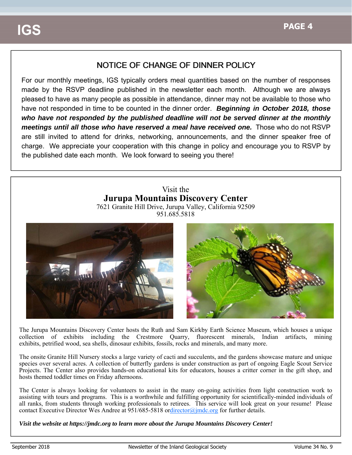# NOTICE OF CHANGE OF DINNER POLICY

For our monthly meetings, IGS typically orders meal quantities based on the number of responses made by the RSVP deadline published in the newsletter each month. Although we are always pleased to have as many people as possible in attendance, dinner may not be available to those who have not responded in time to be counted in the dinner order. *Beginning in October 2018, those who have not responded by the published deadline will not be served dinner at the monthly meetings until all those who have reserved a meal have received one.* Those who do not RSVP are still invited to attend for drinks, networking, announcements, and the dinner speaker free of charge. We appreciate your cooperation with this change in policy and encourage you to RSVP by the published date each month. We look forward to seeing you there!

### Visit the **Jurupa Mountains Discovery Center** 7621 Granite Hill Drive, Jurupa Valley, California 92509

951.685.5818



The Jurupa Mountains Discovery Center hosts the Ruth and Sam Kirkby Earth Science Museum, which houses a unique collection of exhibits including the Crestmore Quarry, fluorescent minerals, Indian artifacts, mining exhibits, petrified wood, sea shells, dinosaur exhibits, fossils, rocks and minerals, and many more.

The onsite Granite Hill Nursery stocks a large variety of cacti and succulents, and the gardens showcase mature and unique species over several acres. A collection of butterfly gardens is under construction as part of ongoing Eagle Scout Service Projects. The Center also provides hands-on educational kits for educators, houses a critter corner in the gift shop, and hosts themed toddler times on Friday afternoons.

The Center is always looking for volunteers to assist in the many on-going activities from light construction work to assisting with tours and programs. This is a worthwhile and fulfilling opportunity for scientifically-minded individuals of all ranks, from students through working professionals to retirees. This service will look great on your resume! Please contact Executive Director Wes Andree at 951/685-5818 ordirector@jmdc.org for further details.

*Visit the website at https://jmdc.org to learn more about the Jurupa Mountains Discovery Center!*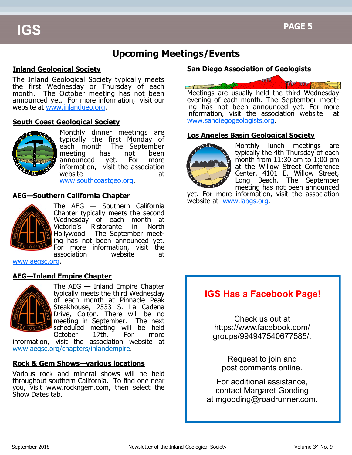# **Upcoming Meetings/Events**

### **Inland Geological Society**

The Inland Geological Society typically meets the first Wednesday or Thursday of each month. The October meeting has not been announced yet. For more information, visit our website at www.inlandgeo.org.

#### **South Coast Geological Society**



Monthly dinner meetings are typically the first Monday of each month. The September meeting has not been announced yet. For more information, visit the association website at

www.southcoastgeo.org.

#### **AEG—Southern California Chapter**



The AEG — Southern California Chapter typically meets the second Wednesday of each month at Victorio's Ristorante in North Hollywood. The September meeting has not been announced yet. For more information, visit the association website at

www.aegsc.org.

#### **AEG—Inland Empire Chapter**



The AEG — Inland Empire Chapter typically meets the third Wednesday of each month at Pinnacle Peak Steakhouse, 2533 S. La Cadena Drive, Colton. There will be no meeting in September. The next scheduled meeting will be held October 17th. For more

information, visit the association website at www.aegsc.org/chapters/inlandempire.

#### **Rock & Gem Shows—various locations**

Various rock and mineral shows will be held throughout southern California. To find one near you, visit www.rockngem.com, then select the Show Dates tab.

### **San Diego Association of Geologists**



Meetings are usually held the third Wednesday evening of each month. The September meeting has not been announced yet. For more information, visit the association website at www.sandiegogeologists.org.

#### **Los Angeles Basin Geological Society**



Monthly lunch meetings are typically the 4th Thursday of each month from 11:30 am to 1:00 pm at the Willow Street Conference Center, 4101 E. Willow Street, Long Beach. The September meeting has not been announced

yet. For more information, visit the association website at www.labgs.org.

# **IGS Has a Facebook Page!**

Check us out at https://www.facebook.com/ groups/994947540677585/.

Request to join and post comments online.

For additional assistance, contact Margaret Gooding at mgooding@roadrunner.com.